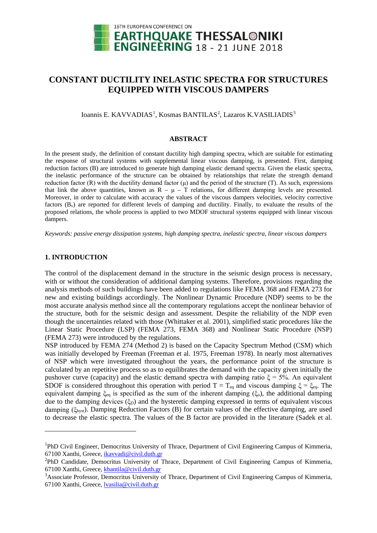

# **CONSTANT DUCTILITY INELASTIC SPECTRA FOR STRUCTURES EQUIPPED WITH VISCOUS DAMPERS**

Ioannis E. KAVVADIAS<sup>[1](#page-0-0)</sup>, Kosmas BANTILAS<sup>[2](#page-0-1)</sup>, Lazaros K.VASILIADIS<sup>[3](#page-0-2)</sup>

#### **ABSTRACT**

In the present study, the definition of constant ductility high damping spectra, which are suitable for estimating the response of structural systems with supplemental linear viscous damping, is presented. First, damping reduction factors (B) are introduced to generate high damping elastic demand spectra. Given the elastic spectra, the inelastic performance of the structure can be obtained by relationships that relate the strength demand reduction factor (R) with the ductility demand factor (μ) and the period of the structure (T). As such, expressions that link the above quantities, known as  $R - \mu - T$  relations, for different damping levels are presented. Moreover, in order to calculate with accuracy the values of the viscous dampers velocities, velocity corrective factors  $(B<sub>v</sub>)$  are reported for different levels of damping and ductility. Finally, to evaluate the results of the proposed relations, the whole process is applied to two MDOF structural systems equipped with linear viscous dampers.

*Keywords: passive energy dissipation systems, high damping spectra, inelastic spectra, linear viscous dampers*

## **1. INTRODUCTION**

<u>.</u>

The control of the displacement demand in the structure in the seismic design process is necessary, with or without the consideration of additional damping systems. Therefore, provisions regarding the analysis methods of such buildings have been added to regulations like FEMA 368 and FEMA 273 for new and existing buildings accordingly. The Nonlinear Dynamic Procedure (NDP) seems to be the most accurate analysis method since all the contemporary regulations accept the nonlinear behavior of the structure, both for the seismic design and assessment. Despite the reliability of the NDP even though the uncertainties related with those (Whittaker et al. 2001), simplified static procedures like the Linear Static Procedure (LSP) (FEMA 273, FEMA 368) and Nonlinear Static Procedure (NSP) (FEMA 273) were introduced by the regulations.

NSP introduced by FEMA 274 (Method 2) is based on the Capacity Spectrum Method (CSM) which was initially developed by Freeman (Freeman et al. 1975, Freeman 1978). In nearly most alternatives of NSP which were investigated throughout the years, the performance point of the structure is calculated by an repetitive process so as to equilibrates the demand with the capacity given initially the pushover curve (capacity) and the elastic demand spectra with damping ratio  $\xi = 5%$ . An equivalent SDOF is considered throughout this operation with period  $T = T_{eq}$  and viscous damping  $\xi = \xi_{eq}$ . The equivalent damping  $\xi_{eq}$  is specified as the sum of the inherent damping ( $\xi_{0}$ ), the additional damping due to the damping devices  $(\xi_D)$  and the hysteretic damping expressed in terms of equivalent viscous damping (ξhyst). Damping Reduction Factors (B) for certain values of the effective damping, are used to decrease the elastic spectra. The values of the B factor are provided in the literature (Sadek et al.

<span id="page-0-0"></span><sup>&</sup>lt;sup>1</sup>PhD Civil Engineer, Democritus University of Thrace, Department of Civil Engineering Campus of Kimmeria, 67100 Xanthi, Greece, [ikavvadi@civil.duth.gr](mailto:ikavvadi@civil.duth.gr)

<span id="page-0-1"></span><sup>&</sup>lt;sup>2</sup>PhD Candidate, Democritus University of Thrace, Department of Civil Engineering Campus of Kimmeria, 67100 Xanthi, Greece, [kbantila@civil.duth.gr](mailto:kbantila@civil.duth.gr)

<span id="page-0-2"></span><sup>&</sup>lt;sup>3</sup>Associate Professor, Democritus University of Thrace, Department of Civil Engineering Campus of Kimmeria, 67100 Xanthi, Greece, [lvasilia@c](mailto:lvasilia@)ivil.duth.gr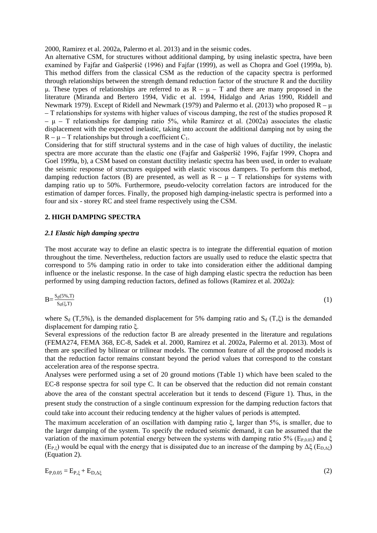2000, Ramirez et al. 2002a, Palermo et al. 2013) and in the seismic codes.

An alternative CSM, for structures without additional damping, by using inelastic spectra, have been examined by Fajfar and Gašperšič (1996) and Fajfar (1999), as well as Chopra and Goel (1999a, b). This method differs from the classical CSM as the reduction of the capacity spectra is performed through relationships between the strength demand reduction factor of the structure R and the ductility μ. These types of relationships are referred to as  $R - μ - T$  and there are many proposed in the literature (Miranda and Bertero 1994, Vidic et al. 1994, Hidalgo and Arias 1990, Riddell and Newmark 1979). Except of Ridell and Newmark (1979) and Palermo et al. (2013) who proposed  $R - \mu$ – Τ relationships for systems with higher values of viscous damping, the rest of the studies proposed R – μ – Τ relationships for damping ratio 5%, while Ramirez et al. (2002a) associates the elastic displacement with the expected inelastic, taking into account the additional damping not by using the  $R - \mu - T$  relationships but through a coefficient  $C_1$ .

Considering that for stiff structural systems and in the case of high values of ductility, the inelastic spectra are more accurate than the elastic one (Fajfar and Gašperšič 1996, Fajfar 1999, Chopra and Goel 1999a, b), a CSM based on constant ductility inelastic spectra has been used, in order to evaluate the seismic response of structures equipped with elastic viscous dampers. To perform this method, damping reduction factors (B) are presented, as well as  $R - \mu - T$  relationships for systems with damping ratio up to 50%. Furthermore, pseudo-velocity correlation factors are introduced for the estimation of damper forces. Finally, the proposed high damping-inelastic spectra is performed into a four and six - storey RC and steel frame respectively using the CSM.

## **2. HIGH DAMPING SPECTRA**

## *2.1 Elastic high damping spectra*

The most accurate way to define an elastic spectra is to integrate the differential equation of motion throughout the time. Nevertheless, reduction factors are usually used to reduce the elastic spectra that correspond to 5% damping ratio in order to take into consideration either the additional damping influence or the inelastic response. In the case of high damping elastic spectra the reduction has been performed by using damping reduction factors, defined as follows (Ramirez et al. 2002a):

$$
B = \frac{S_d(5\%, T)}{S_d(\xi, T)}\tag{1}
$$

where  $S_d$  (T,5%), is the demanded displacement for 5% damping ratio and  $S_d$  (T, $\xi$ ) is the demanded displacement for damping ratio ξ.

Several expressions of the reduction factor B are already presented in the literature and regulations (FEMA274, FEMA 368, EC-8, Sadek et al. 2000, Ramirez et al. 2002a, Palermo et al. 2013). Most of them are specified by bilinear or trilinear models. The common feature of all the proposed models is that the reduction factor remains constant beyond the period values that correspond to the constant acceleration area of the response spectra.

Analyses were performed using a set of 20 ground motions (Table 1) which have been scaled to the EC-8 response spectra for soil type C. It can be observed that the reduction did not remain constant above the area of the constant spectral acceleration but it tends to descend (Figure 1). Thus, in the present study the construction of a single continuum expression for the damping reduction factors that could take into account their reducing tendency at the higher values of periods is attempted.

The maximum acceleration of an oscillation with damping ratio ξ, larger than 5%, is smaller, due to the larger damping of the system. To specify the reduced seismic demand, it can be assumed that the variation of the maximum potential energy between the systems with damping ratio 5% (E<sub>P,0.05</sub>) and  $\xi$ (E<sub>P,ξ</sub>) would be equal with the energy that is dissipated due to an increase of the damping by  $\Delta \xi$  (E<sub>D, $\Delta \xi$ </sub>) (Equation 2).

 $E_{P,0.05} = E_{P,\xi} + E_{D,\Delta\xi}$  (2)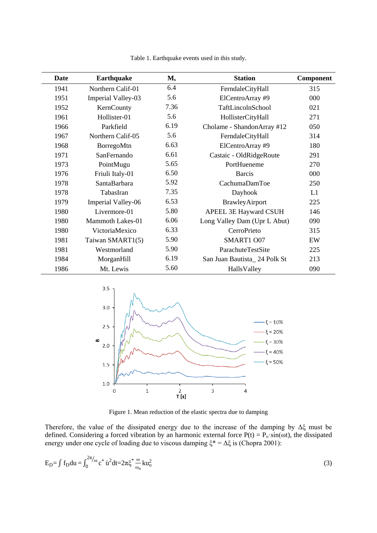| Date | <b>Earthquake</b>       | $M_{s}$ | <b>Station</b>               | Component |
|------|-------------------------|---------|------------------------------|-----------|
| 1941 | Northern Calif-01       | 6.4     | FerndaleCityHall             | 315       |
| 1951 | Imperial Valley-03      | 5.6     | ElCentroArray #9             | 000       |
| 1952 | KernCounty              | 7.36    | TaftLincolnSchool            | 021       |
| 1961 | Hollister-01            | 5.6     | HollisterCityHall            | 271       |
| 1966 | Parkfield               | 6.19    | Cholame - ShandonArray #12   | 050       |
| 1967 | Northern Calif-05       | 5.6     | FerndaleCityHall             | 314       |
| 1968 | BorregoMtn              | 6.63    | ElCentroArray #9             | 180       |
| 1971 | SanFernando             | 6.61    | Castaic - OldRidgeRoute      | 291       |
| 1973 | PointMugu               | 5.65    | PortHueneme                  | 270       |
| 1976 | Friuli Italy-01         | 6.50    | <b>Barcis</b>                | 000       |
| 1978 | SantaBarbara            | 5.92    | CachumaDamToe                | 250       |
| 1978 | TabasIran               | 7.35    | Dayhook                      | L1        |
| 1979 | Imperial Valley-06      | 6.53    | BrawleyAirport               | 225       |
| 1980 | Livermore-01            | 5.80    | APEEL 3E Hayward CSUH        | 146       |
| 1980 | <b>Mammoth Lakes-01</b> | 6.06    | Long Valley Dam (Upr L Abut) | 090       |
| 1980 | VictoriaMexico          | 6.33    | CerroPrieto                  | 315       |
| 1981 | Taiwan SMART1(5)        | 5.90    | SMART1 O07                   | EW        |
| 1981 | Westmorland             | 5.90    | ParachuteTestSite            | 225       |
| 1984 | MorganHill              | 6.19    | San Juan Bautista_24 Polk St | 213       |
| 1986 | Mt. Lewis               | 5.60    | HallsValley                  | 090       |

Table 1. Earthquake events used in this study.



Figure 1. Mean reduction of the elastic spectra due to damping

Therefore, the value of the dissipated energy due to the increase of the damping by Δξ must be defined. Considering a forced vibration by an harmonic external force  $P(t) = P_0 \cdot \sin(\omega t)$ , the dissipated energy under one cycle of loading due to viscous damping  $\xi^* = \Delta \xi$  is (Chopra 2001):

$$
E_{D} = \int f_{D} du = \int_{0}^{2\pi/\omega} c^* \dot{u}^2 dt = 2\pi \xi^* \frac{\omega}{\omega_n} k u_0^2
$$
 (3)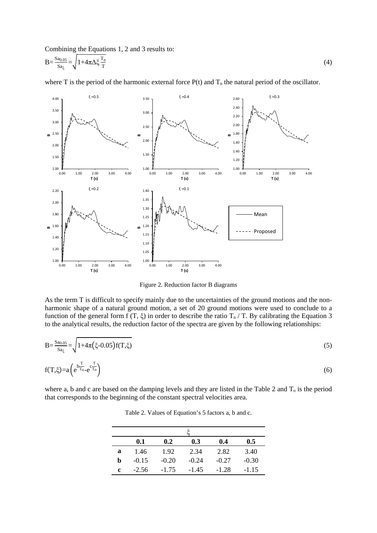Combining the Equations 1, 2 and 3 results to:

$$
B = \frac{Sa_{0.05}}{Sa_{\xi}} = \sqrt{1 + 4\pi\Delta\xi \frac{T_n}{T}}
$$
(4)

where T is the period of the harmonic external force  $P(t)$  and  $T_n$  the natural period of the oscillator.



Figure 2. Reduction factor B diagrams

As the term T is difficult to specify mainly due to the uncertainties of the ground motions and the nonharmonic shape of a natural ground motion, a set of 20 ground motions were used to conclude to a function of the general form f (T,  $\xi$ ) in order to describe the ratio  $T_n / T$ . By calibrating the Equation 3 to the analytical results, the reduction factor of the spectra are given by the following relationships:

$$
B = \frac{S_{a_{0.05}}}{S_{a_{\xi}}} = \sqrt{1 + 4\pi (\xi - 0.05) f(T, \xi)}
$$
(5)  
f(T, \xi) = a \left( e^{\frac{T}{T\_{o}} - e^{\frac{T}{T\_{o}}}} \right) (6)

where a, b and c are based on the damping levels and they are listed in the Table 2 and  $T_0$  is the period that corresponds to the beginning of the constant spectral velocities area.

| Table 2. Values of Equation's 5 factors a, b and c. |  |
|-----------------------------------------------------|--|
|-----------------------------------------------------|--|

|   | 0.1     | 0.2     | 0.3     | 0.4     | 0.5     |  |  |  |
|---|---------|---------|---------|---------|---------|--|--|--|
| a | 1.46    | 1.92    | 2.34    | 2.82    | 3.40    |  |  |  |
| h | $-0.15$ | $-0.20$ | $-0.24$ | $-0.27$ | $-0.30$ |  |  |  |
| c | $-2.56$ | $-1.75$ | $-1.45$ | $-1.28$ | $-1.15$ |  |  |  |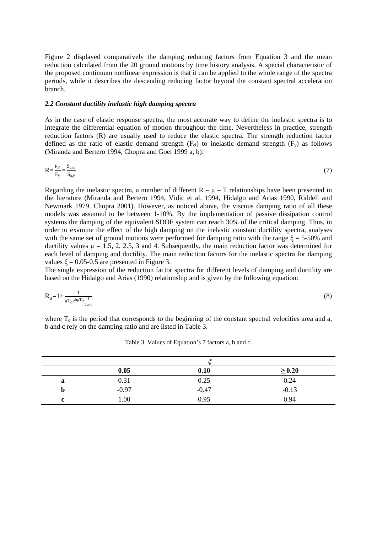Figure 2 displayed comparatively the damping reducing factors from Equation 3 and the mean reduction calculated from the 20 ground motions by time history analysis. A special characteristic of the proposed continuum nonlinear expression is that it can be applied to the whole range of the spectra periods, while it describes the descending reducing factor beyond the constant spectral acceleration branch.

# *2.2 Constant ductility inelastic high damping spectra*

As in the case of elastic response spectra, the most accurate way to define the inelastic spectra is to integrate the differential equation of motion throughout the time. Nevertheless in practice, strength reduction factors (R) are usually used to reduce the elastic spectra. The strength reduction factor defined as the ratio of elastic demand strength  $(F_{el})$  to inelastic demand strength  $(F_v)$  as follows (Miranda and Bertero 1994, Chopra and Goel 1999 a, b):

$$
R = \frac{F_{el}}{F_y} = \frac{S_{a,el}}{S_{a,y}}
$$
(7)

Regarding the inelastic spectra, a number of different  $R - \mu - T$  relationships have been presented in the literature (Miranda and Bertero 1994, Vidic et al. 1994, Hidalgo and Arias 1990, Riddell and Newmark 1979, Chopra 2001). However, as noticed above, the viscous damping ratio of all these models was assumed to be between 1-10%. By the implementation of passive dissipation control systems the damping of the equivalent SDOF system can reach 30% of the critical damping. Thus, in order to examine the effect of the high damping on the inelastic constant ductility spectra, analyses with the same set of ground motions were performed for damping ratio with the range  $\xi = 5-50\%$  and ductility values  $\mu = 1.5, 2, 2.5, 3$  and 4. Subsequently, the main reduction factor was determined for each level of damping and ductility. The main reduction factors for the inelastic spectra for damping values  $\xi = 0.05 - 0.5$  are presented in Figure 3.

The single expression of the reduction factor spectra for different levels of damping and ductility are based on the Hidalgo and Arias (1990) relationship and is given by the following equation:

$$
R_{\mu} = 1 + \frac{T}{aT_0 e^{b\mu T} + \frac{T}{c\mu - 1}}\tag{8}
$$

where  $T<sub>o</sub>$  is the period that corresponds to the beginning of the constant spectral velocities area and a, b and c rely on the damping ratio and are listed in Table 3.

|   | 0.05    | 0.10    | $\geq 0.20$ |
|---|---------|---------|-------------|
| a | 0.31    | 0.25    | 0.24        |
| D | $-0.97$ | $-0.47$ | $-0.13$     |
| r | 1.00    | 0.95    | 0.94        |

Table 3. Values of Equation's 7 factors a, b and c.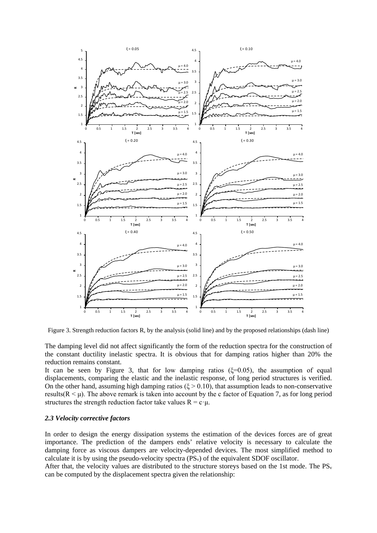

Figure 3. Strength reduction factors R, by the analysis (solid line) and by the proposed relationships (dash line)

The damping level did not affect significantly the form of the reduction spectra for the construction of the constant ductility inelastic spectra. It is obvious that for damping ratios higher than 20% the reduction remains constant.

It can be seen by Figure 3, that for low damping ratios  $(\xi=0.05)$ , the assumption of equal displacements, comparing the elastic and the inelastic response, of long period structures is verified. On the other hand, assuming high damping ratios ( $\xi > 0.10$ ), that assumption leads to non-conservative results( $R < \mu$ ). The above remark is taken into account by the c factor of Equation 7, as for long period structures the strength reduction factor take values  $R = c \cdot \mu$ .

## *2.3 Velocity corrective factors*

In order to design the energy dissipation systems the estimation of the devices forces are of great importance. The prediction of the dampers ends' relative velocity is necessary to calculate the damping force as viscous dampers are velocity-depended devices. The most simplified method to calculate it is by using the pseudo-velocity spectra (PSv) of the equivalent SDOF oscillator.

After that, the velocity values are distributed to the structure storeys based on the 1st mode. The  $PS_v$ can be computed by the displacement spectra given the relationship: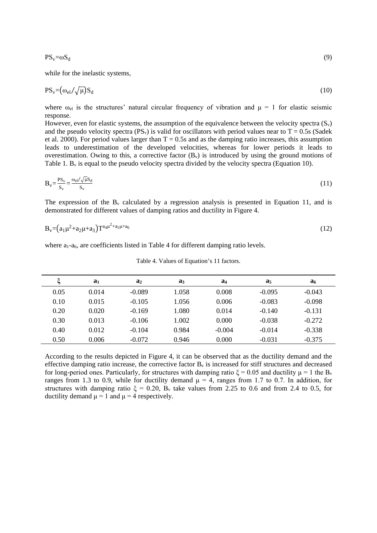while for the inelastic systems,

$$
PS_v = \left(\omega_{el}/\sqrt{\mu}\right)S_d\tag{10}
$$

where  $\omega_{el}$  is the structures' natural circular frequency of vibration and  $\mu = 1$  for elastic seismic response.

However, even for elastic systems, the assumption of the equivalence between the velocity spectra  $(S_v)$ and the pseudo velocity spectra (PS<sub>v</sub>) is valid for oscillators with period values near to T = 0.5s (Sadek et al. 2000). For period values larger than  $T = 0.5s$  and as the damping ratio increases, this assumption leads to underestimation of the developed velocities, whereas for lower periods it leads to overestimation. Owing to this, a corrective factor  $(B_v)$  is introduced by using the ground motions of Table 1.  $B_y$  is equal to the pseudo velocity spectra divided by the velocity spectra (Equation 10).

$$
B_v = \frac{PS_v}{S_v} = \frac{\omega_{el}/\sqrt{\mu}S_d}{S_v}
$$
\n(11)

The expression of the  $B<sub>v</sub>$  calculated by a regression analysis is presented in Equation 11, and is demonstrated for different values of damping ratios and ductility in Figure 4.

$$
B_v = (a_1 \mu^2 + a_2 \mu + a_3) T^{a_4 \mu^2 + a_5 \mu + a_6} \tag{12}
$$

where  $a_1-a_6$ , are coefficients listed in Table 4 for different damping ratio levels.

|      | a <sub>1</sub> | a <sub>2</sub> | $a_3$ | a <sub>4</sub> | a <sub>5</sub> | a <sub>6</sub> |
|------|----------------|----------------|-------|----------------|----------------|----------------|
| 0.05 | 0.014          | $-0.089$       | 1.058 | 0.008          | $-0.095$       | $-0.043$       |
| 0.10 | 0.015          | $-0.105$       | 1.056 | 0.006          | $-0.083$       | $-0.098$       |
| 0.20 | 0.020          | $-0.169$       | 1.080 | 0.014          | $-0.140$       | $-0.131$       |
| 0.30 | 0.013          | $-0.106$       | 1.002 | 0.000          | $-0.038$       | $-0.272$       |
| 0.40 | 0.012          | $-0.104$       | 0.984 | $-0.004$       | $-0.014$       | $-0.338$       |
| 0.50 | 0.006          | $-0.072$       | 0.946 | 0.000          | $-0.031$       | $-0.375$       |

Table 4. Values of Equation's 11 factors.

According to the results depicted in Figure 4, it can be observed that as the ductility demand and the effective damping ratio increase, the corrective factor  $B<sub>v</sub>$  is increased for stiff structures and decreased for long-period ones. Particularly, for structures with damping ratio  $\xi = 0.05$  and ductility  $\mu = 1$  the B<sub>v</sub> ranges from 1.3 to 0.9, while for ductility demand  $\mu = 4$ , ranges from 1.7 to 0.7. In addition, for structures with damping ratio  $\xi = 0.20$ ,  $B_v$  take values from 2.25 to 0.6 and from 2.4 to 0.5, for ductility demand  $\mu = 1$  and  $\mu = 4$  respectively.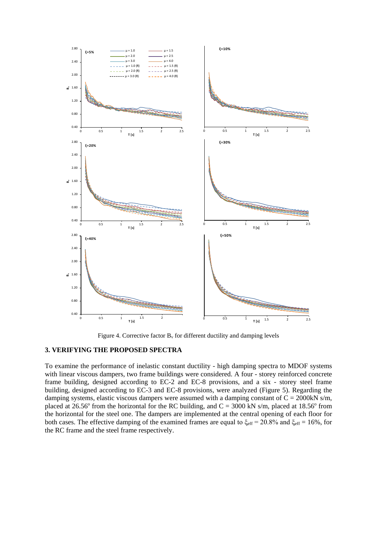

Figure 4. Corrective factor  $B_v$  for different ductility and damping levels

# **3. VERIFYING THE PROPOSED SPECTRA**

To examine the performance of inelastic constant ductility - high damping spectra to MDOF systems with linear viscous dampers, two frame buildings were considered. A four - storey reinforced concrete frame building, designed according to EC-2 and EC-8 provisions, and a six - storey steel frame building, designed according to EC-3 and EC-8 provisions, were analyzed (Figure 5). Regarding the damping systems, elastic viscous dampers were assumed with a damping constant of  $C = 2000 \text{kN s/m}$ , placed at 26.56° from the horizontal for the RC building, and  $C = 3000$  kN s/m, placed at 18.56° from the horizontal for the steel one. The dampers are implemented at the central opening of each floor for both cases. The effective damping of the examined frames are equal to  $\xi_{\text{eff}} = 20.8\%$  and  $\xi_{\text{eff}} = 16\%$ , for the RC frame and the steel frame respectively.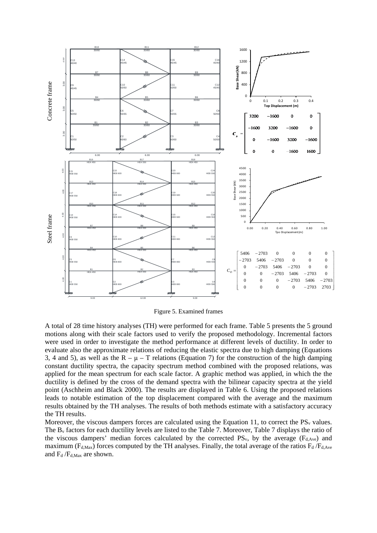

Figure 5. Examined frames

A total of 28 time history analyses (TH) were performed for each frame. Table 5 presents the 5 ground motions along with their scale factors used to verify the proposed methodology. Incremental factors were used in order to investigate the method performance at different levels of ductility. In order to evaluate also the approximate relations of reducing the elastic spectra due to high damping (Equations 3, 4 and 5), as well as the  $R - \mu - T$  relations (Equation 7) for the construction of the high damping constant ductility spectra, the capacity spectrum method combined with the proposed relations, was applied for the mean spectrum for each scale factor. A graphic method was applied, in which the the ductility is defined by the cross of the demand spectra with the bilinear capacity spectra at the yield point (Aschheim and Black 2000). The results are displayed in Table 6. Using the proposed relations leads to notable estimation of the top displacement compared with the average and the maximum results obtained by the TH analyses. The results of both methods estimate with a satisfactory accuracy the TH results.

Moreover, the viscous dampers forces are calculated using the Equation 11, to correct the  $PS_v$  values. The Bv factors for each ductility levels are listed to the Table 7. Moreover, Table 7 displays the ratio of the viscous dampers' median forces calculated by the corrected  $PS_v$ , by the average ( $F_{d, Ave}$ ) and maximum ( $F_{d,Max}$ ) forces computed by the TH analyses. Finally, the total average of the ratios  $F_d$  / $F_{d,Ave}$ and  $F_d$  / $F_{d,Max}$  are shown.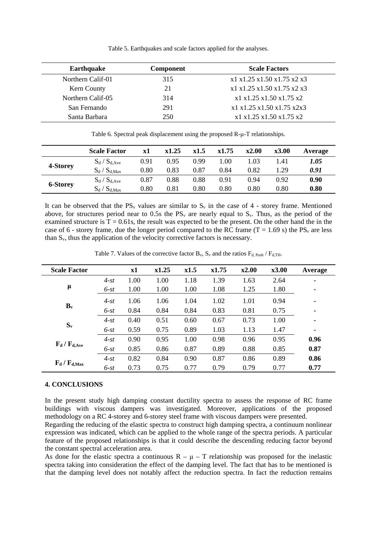Table 5. Earthquakes and scale factors applied for the analyses.

| <b>Earthquake</b> | <b>Component</b> | <b>Scale Factors</b>       |
|-------------------|------------------|----------------------------|
| Northern Calif-01 | 315              | x1 x1.25 x1.50 x1.75 x2 x3 |
| Kern County       | 21               | x1 x1.25 x1.50 x1.75 x2 x3 |
| Northern Calif-05 | 314              | x1 x1.25 x1.50 x1.75 x2    |
| San Fernando      | 291              | x1 x1.25 x1.50 x1.75 x2x3  |
| Santa Barbara     | 250              | x1 x1.25 x1.50 x1.75 x2    |

Table 6. Spectral peak displacement using the proposed R-μ-T relationships.

|                 | <b>Scale Factor</b> | x1   | x1.25 | x1.5 | x1.75 | x2.00 | x3.00 | Average |
|-----------------|---------------------|------|-------|------|-------|-------|-------|---------|
|                 | $S_d / S_{d, Ave}$  | 0.91 | 0.95  | 0.99 | 1.00  | 1.03  | 1.41  | 1.05    |
| 4-Storey        | $S_d / S_{d,Max}$   | 0.80 | 0.83  | 0.87 | 0.84  | 0.82  | 1.29  | 0.91    |
| <b>6-Storey</b> | $S_d / S_{d, Ave}$  | 0.87 | 0.88  | 0.88 | 0.91  | 0.94  | 0.92  | 0.90    |
|                 | $S_d / S_{d,Max}$   | 0.80 | 0.81  | 0.80 | 0.80  | 0.80  | 0.80  | 0.80    |

It can be observed that the  $PS_v$  values are similar to  $S_v$  in the case of 4 - storey frame. Mentioned above, for structures period near to 0.5s the  $PS_v$  are nearly equal to  $S_v$ . Thus, as the period of the examined structure is  $T = 0.61s$ , the result was expected to be the present. On the other hand the in the case of 6 - storey frame, due the longer period compared to the RC frame (T = 1.69 s) the  $PS_v$  are less than Sv, thus the application of the velocity corrective factors is necessary.

| <b>Scale Factor</b>                                                |        | $\mathbf{x}$ 1 | x1.25 | x1.5 | x1.75 | x2.00 | x3.00 | Average |
|--------------------------------------------------------------------|--------|----------------|-------|------|-------|-------|-------|---------|
|                                                                    | $4-st$ | 1.00           | 1.00  | 1.18 | 1.39  | 1.63  | 2.64  |         |
| μ                                                                  | $6-st$ | 1.00           | 1.00  | 1.00 | 1.08  | 1.25  | 1.80  | ۰       |
| $\mathbf{B}_{\mathbf{v}}$                                          | $4-st$ | 1.06           | 1.06  | 1.04 | 1.02  | 1.01  | 0.94  | ۰       |
|                                                                    | $6-st$ | 0.84           | 0.84  | 0.84 | 0.83  | 0.81  | 0.75  | ٠       |
|                                                                    | $4-st$ | 0.40           | 0.51  | 0.60 | 0.67  | 0.73  | 1.00  |         |
| $S_{v}$                                                            | $6-st$ | 0.59           | 0.75  | 0.89 | 1.03  | 1.13  | 1.47  | ۰       |
|                                                                    | $4-st$ | 0.90           | 0.95  | 1.00 | 0.98  | 0.96  | 0.95  | 0.96    |
| $\mathbf{F}_{\mathbf{d}}$ / $\mathbf{F}_{\mathbf{d},\mathbf{Ave}}$ | $6-st$ | 0.85           | 0.86  | 0.87 | 0.89  | 0.88  | 0.85  | 0.87    |
| $F_d / F_{d,Max}$                                                  | $4-st$ | 0.82           | 0.84  | 0.90 | 0.87  | 0.86  | 0.89  | 0.86    |
|                                                                    | $6-st$ | 0.73           | 0.75  | 0.77 | 0.79  | 0.79  | 0.77  | 0.77    |

Table 7. Values of the corrective factor  $B_v$ ,  $S_v$  and the ratios  $F_d$   $_{\rm Park}$ ,  $F_{d,TH}$ .

## **4. CONCLUSIONS**

In the present study high damping constant ductility spectra to assess the response of RC frame buildings with viscous dampers was investigated. Moreover, applications of the proposed methodology on a RC 4-storey and 6-storey steel frame with viscous dampers were presented.

Regarding the reducing of the elastic spectra to construct high damping spectra, a continuum nonlinear expression was indicated, which can be applied to the whole range of the spectra periods. A particular feature of the proposed relationships is that it could describe the descending reducing factor beyond the constant spectral acceleration area.

As done for the elastic spectra a continuous  $R - \mu - T$  relationship was proposed for the inelastic spectra taking into consideration the effect of the damping level. The fact that has to be mentioned is that the damping level does not notably affect the reduction spectra. In fact the reduction remains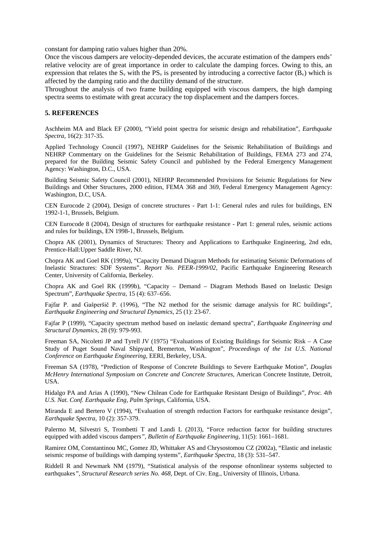constant for damping ratio values higher than 20%.

Once the viscous dampers are velocity-depended devices, the accurate estimation of the dampers ends' relative velocity are of great importance in order to calculate the damping forces. Owing to this, an expression that relates the  $S_y$  with the  $PS_y$  is presented by introducing a corrective factor  $(B_y)$  which is affected by the damping ratio and the ductility demand of the structure.

Throughout the analysis of two frame building equipped with viscous dampers, the high damping spectra seems to estimate with great accuracy the top displacement and the dampers forces.

#### **5. REFERENCES**

Aschheim MA and Black EF (2000), "Yield point spectra for seismic design and rehabilitation", *Earthquake Spectra*, 16(2): 317-35.

Applied Technology Council (1997), NEHRP Guidelines for the Seismic Rehabilitation of Buildings and NEHRP Commentary on the Guidelines for the Seismic Rehabilitation of Buildings, FEMA 273 and 274, prepared for the Building Seismic Safety Council and published by the Federal Emergency Management Agency: Washington, D.C., USA.

Building Seismic Safety Council (2001), NEHRP Recommended Provisions for Seismic Regulations for New Buildings and Other Structures, 2000 edition, FEMA 368 and 369, Federal Emergency Management Agency: Washington, D.C, USA.

CEN Eurocode 2 (2004), Design of concrete structures - Part 1-1: General rules and rules for buildings, EN 1992-1-1, Brussels, Belgium.

CEN Eurocode 8 (2004), Design of structures for earthquake resistance - Part 1: general rules, seismic actions and rules for buildings, EN 1998-1, Brussels, Belgium.

Chopra AK (2001), Dynamics of Structures: Theory and Applications to Earthquake Engineering, 2nd edn, Prentice-Hall:Upper Saddle River, NJ.

Chopra AK and Goel RK (1999a), "Capacity Demand Diagram Methods for estimating Seismic Deformations of Inelastic Stractures: SDF Systems". *Report No. PEER-1999/02*, Pacific Earthquake Engineering Research Center, University of California, Berkeley.

Chopra AK and Goel RK (1999b), "Capacity – Demand – Diagram Methods Based on Inelastic Design Spectrum", *Earthquake Spectra*, 15 (4): 637–656.

Fajfar P. and Gašperšič P. (1996), "The N2 method for the seismic damage analysis for RC buildings", *Earthquake Engineering and Structural Dynamics*, 25 (1): 23-67.

Fajfar P (1999), "Capacity spectrum method based on inelastic demand spectra", *Earthquake Engineering and Structural Dynamics*, 28 (9): 979-993.

Freeman SA, Nicoletti JP and Tyrell JV (1975) "Evaluations of Existing Buildings for Seismic Risk – A Case Study of Puget Sound Naval Shipyard, Bremerton, Washington", *Proceedings of the 1st U.S. National Conference on Earthquake Engineering*, EERI, Berkeley, USA.

Freeman SA (1978), "Prediction of Response of Concrete Buildings to Severe Earthquake Motion", *Douglas McHenry International Symposium on Concrete and Concrete Structures*, American Concrete Institute, Detroit, USA.

Hidalgo PA and Arias A (1990), "New Chilean Code for Earthquake Resistant Design of Buildings", *Proc. 4th U.S. Nat. Conf. Earthquake Eng, Palm Springs*, California, USA.

Miranda E and Bertero V (1994), "Evaluation of strength reduction Factors for earthquake resistance design", *Earthquake Spectra*, 10 (2): 357-379.

Palermo M, Silvestri S, Trombetti T and Landi L (2013), "Force reduction factor for building structures equipped with added viscous dampers*", Bulletin of Earthquake Engineering*, 11(5): 1661–1681.

Ramirez OM, Constantinou MC, Gomez JD, Whittaker AS and Chrysostomou CZ (2002a), "Elastic and inelastic seismic response of buildings with damping systems", *Earthquake Spectra*, 18 (3): 531–547.

Riddell R and Newmark NM (1979), "Statistical analysis of the response ofnonlinear systems subjected to earthquakes*", Structural Research series No. 468*, Dept. of Civ. Eng., University of Illinois, Urbana.